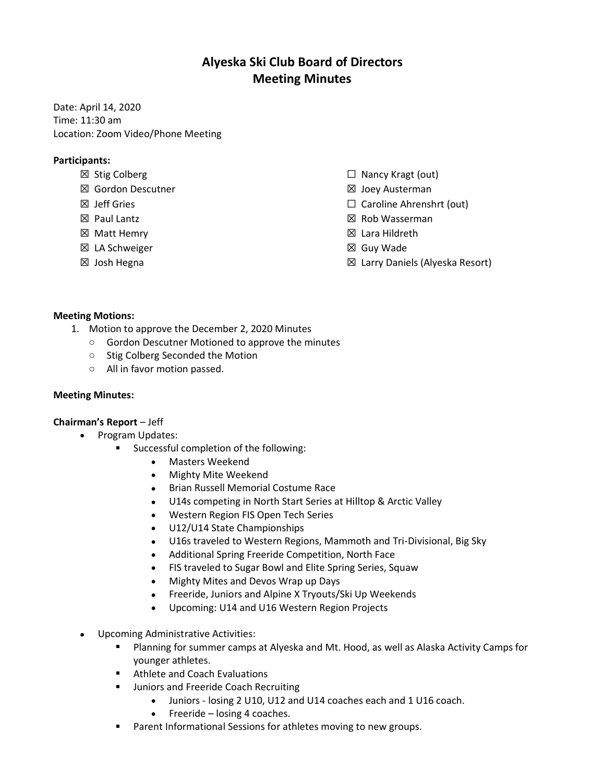# **Alyeska Ski Club Board of Directors Meeting Minutes**

Date: April 14, 2020 Time: 11:30 am Location: Zoom Video/Phone Meeting

## **Participants:**

- ☒ Stig Colberg
- ☒ Gordon Descutner
- ☒ Jeff Gries
- ☒ Paul Lantz
- ☒ Matt Hemry
- ☒ LA Schweiger
- ☒ Josh Hegna
- $\Box$  Nancy Kragt (out)
- ☒ Joey Austerman
- ☐ Caroline Ahrenshrt (out)
- ☒ Rob Wasserman
- ☒ Lara Hildreth
- ☒ Guy Wade
- ☒ Larry Daniels (Alyeska Resort)

### **Meeting Motions:**

- 1. Motion to approve the December 2, 2020 Minutes
	- o Gordon Descutner Motioned to approve the minutes
	- o Stig Colberg Seconded the Motion
	- o All in favor motion passed.

### **Meeting Minutes:**

### **Chairman's Report** – Jeff

- Program Updates:
	- Successful completion of the following:
		- Masters Weekend
		- Mighty Mite Weekend
		- Brian Russell Memorial Costume Race
		- U14s competing in North Start Series at Hilltop & Arctic Valley
		- Western Region FIS Open Tech Series
		- U12/U14 State Championships
		- U16s traveled to Western Regions, Mammoth and Tri-Divisional, Big Sky
		- Additional Spring Freeride Competition, North Face
		- FIS traveled to Sugar Bowl and Elite Spring Series, Squaw
		- Mighty Mites and Devos Wrap up Days
		- Freeride, Juniors and Alpine X Tryouts/Ski Up Weekends
		- Upcoming: U14 and U16 Western Region Projects
- Upcoming Administrative Activities:
	- Planning for summer camps at Alyeska and Mt. Hood, as well as Alaska Activity Camps for  $\mathbf{m} = 0$ younger athletes.
	- **Athlete and Coach Evaluations**
	- **ULA:** Juniors and Freeride Coach Recruiting
		- Juniors losing 2 U10, U12 and U14 coaches each and 1 U16 coach.
		- Freeride losing 4 coaches.
	- Parent Informational Sessions for athletes moving to new groups.